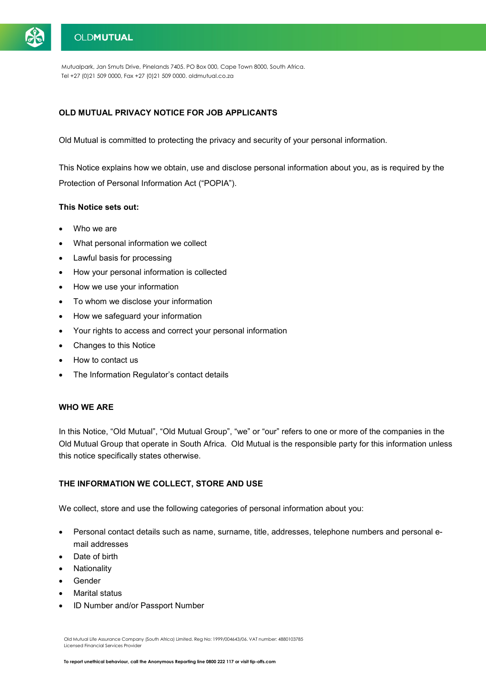

## **OLDMUTUAL**

Mutualpark, Jan Smuts Drive, Pinelands 7405. PO Box 000, Cape Town 8000, South Africa. Tel +27 (0)21 509 0000, Fax +27 (0)21 509 0000. oldmutual.co.za

## **OLD MUTUAL PRIVACY NOTICE FOR JOB APPLICANTS**

Old Mutual is committed to protecting the privacy and security of your personal information.

This Notice explains how we obtain, use and disclose personal information about you, as is required by the Protection of Personal Information Act ("POPIA").

#### **This Notice sets out:**

- Who we are
- What personal information we collect
- Lawful basis for processing
- How your personal information is collected
- How we use your information
- To whom we disclose your information
- How we safeguard your information
- Your rights to access and correct your personal information
- Changes to this Notice
- How to contact us
- The Information Regulator's contact details

## **WHO WE ARE**

In this Notice, "Old Mutual", "Old Mutual Group", "we" or "our" refers to one or more of the companies in the Old Mutual Group that operate in South Africa. Old Mutual is the responsible party for this information unless this notice specifically states otherwise.

### **THE INFORMATION WE COLLECT, STORE AND USE**

We collect, store and use the following categories of personal information about you:

- Personal contact details such as name, surname, title, addresses, telephone numbers and personal email addresses
- Date of birth
- **Nationality**
- **Gender**
- **Marital status**
- ID Number and/or Passport Number

Old Mutual Life Assurance Company (South Africa) Limited. Reg No: 1999/004643/06. VAT number: 4880103785 Licensed Financial Services Provider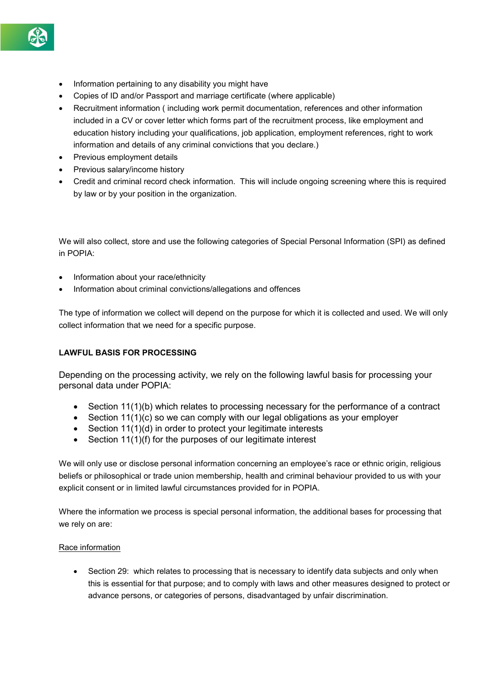- Information pertaining to any disability you might have
- Copies of ID and/or Passport and marriage certificate (where applicable)
- Recruitment information ( including work permit documentation, references and other information included in a CV or cover letter which forms part of the recruitment process, like employment and education history including your qualifications, job application, employment references, right to work information and details of any criminal convictions that you declare.)
- Previous employment details
- Previous salary/income history
- Credit and criminal record check information. This will include ongoing screening where this is required by law or by your position in the organization.

We will also collect, store and use the following categories of Special Personal Information (SPI) as defined in POPIA:

- Information about your race/ethnicity
- Information about criminal convictions/allegations and offences

The type of information we collect will depend on the purpose for which it is collected and used. We will only collect information that we need for a specific purpose.

## **LAWFUL BASIS FOR PROCESSING**

Depending on the processing activity, we rely on the following lawful basis for processing your personal data under POPIA:

- Section 11(1)(b) which relates to processing necessary for the performance of a contract
- Section 11(1)(c) so we can comply with our legal obligations as your employer
- Section 11(1)(d) in order to protect your legitimate interests
- Section 11(1)(f) for the purposes of our legitimate interest

We will only use or disclose personal information concerning an employee's race or ethnic origin, religious beliefs or philosophical or trade union membership, health and criminal behaviour provided to us with your explicit consent or in limited lawful circumstances provided for in POPIA.

Where the information we process is special personal information, the additional bases for processing that we rely on are:

## Race information

• Section 29: which relates to processing that is necessary to identify data subjects and only when this is essential for that purpose; and to comply with laws and other measures designed to protect or advance persons, or categories of persons, disadvantaged by unfair discrimination.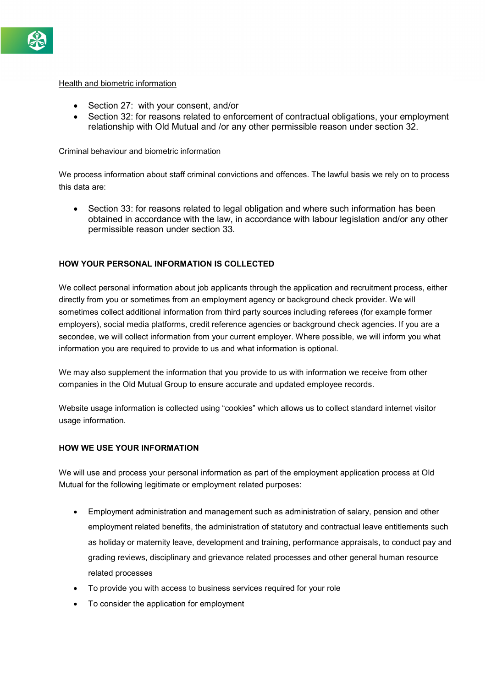

### Health and biometric information

- Section 27: with your consent, and/or
- Section 32: for reasons related to enforcement of contractual obligations, your employment relationship with Old Mutual and /or any other permissible reason under section 32.

#### Criminal behaviour and biometric information

We process information about staff criminal convictions and offences. The lawful basis we rely on to process this data are:

• Section 33: for reasons related to legal obligation and where such information has been obtained in accordance with the law, in accordance with labour legislation and/or any other permissible reason under section 33.

#### **HOW YOUR PERSONAL INFORMATION IS COLLECTED**

We collect personal information about job applicants through the application and recruitment process, either directly from you or sometimes from an employment agency or background check provider. We will sometimes collect additional information from third party sources including referees (for example former employers), social media platforms, credit reference agencies or background check agencies. If you are a secondee, we will collect information from your current employer. Where possible, we will inform you what information you are required to provide to us and what information is optional.

We may also supplement the information that you provide to us with information we receive from other companies in the Old Mutual Group to ensure accurate and updated employee records.

Website usage information is collected using "cookies" which allows us to collect standard internet visitor usage information.

#### **HOW WE USE YOUR INFORMATION**

We will use and process your personal information as part of the employment application process at Old Mutual for the following legitimate or employment related purposes:

- Employment administration and management such as administration of salary, pension and other employment related benefits, the administration of statutory and contractual leave entitlements such as holiday or maternity leave, development and training, performance appraisals, to conduct pay and grading reviews, disciplinary and grievance related processes and other general human resource related processes
- To provide you with access to business services required for your role
- To consider the application for employment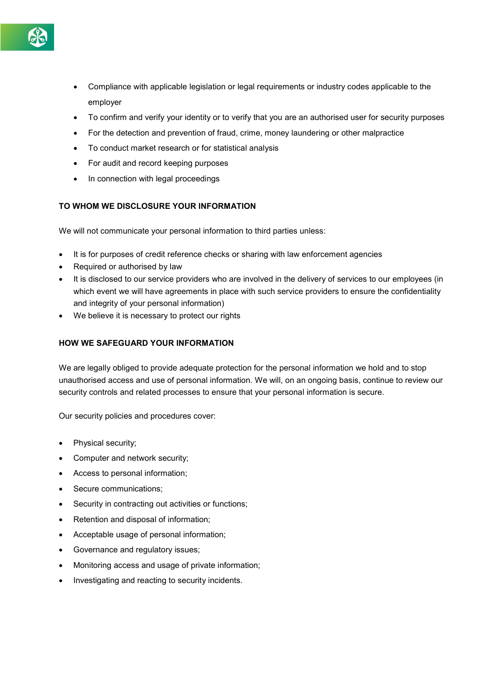

- Compliance with applicable legislation or legal requirements or industry codes applicable to the employer
- To confirm and verify your identity or to verify that you are an authorised user for security purposes
- For the detection and prevention of fraud, crime, money laundering or other malpractice
- To conduct market research or for statistical analysis
- For audit and record keeping purposes
- In connection with legal proceedings

## **TO WHOM WE DISCLOSURE YOUR INFORMATION**

We will not communicate your personal information to third parties unless:

- It is for purposes of credit reference checks or sharing with law enforcement agencies
- Required or authorised by law
- It is disclosed to our service providers who are involved in the delivery of services to our employees (in which event we will have agreements in place with such service providers to ensure the confidentiality and integrity of your personal information)
- We believe it is necessary to protect our rights

## **HOW WE SAFEGUARD YOUR INFORMATION**

We are legally obliged to provide adequate protection for the personal information we hold and to stop unauthorised access and use of personal information. We will, on an ongoing basis, continue to review our security controls and related processes to ensure that your personal information is secure.

Our security policies and procedures cover:

- Physical security;
- Computer and network security;
- Access to personal information;
- Secure communications:
- Security in contracting out activities or functions;
- Retention and disposal of information;
- Acceptable usage of personal information;
- Governance and regulatory issues;
- Monitoring access and usage of private information;
- Investigating and reacting to security incidents.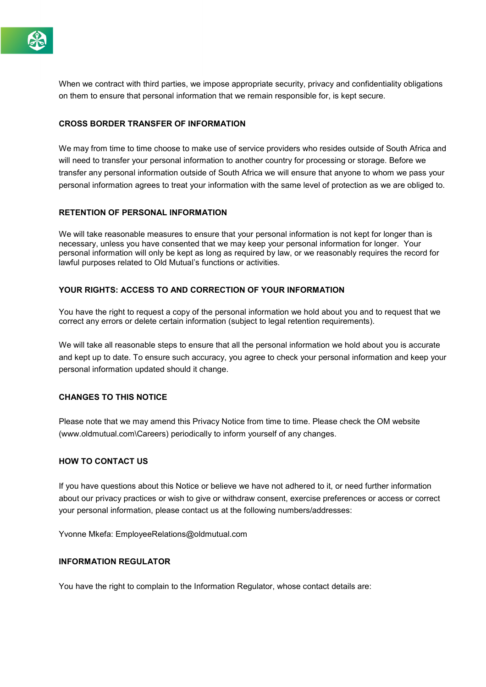

When we contract with third parties, we impose appropriate security, privacy and confidentiality obligations on them to ensure that personal information that we remain responsible for, is kept secure.

## **CROSS BORDER TRANSFER OF INFORMATION**

We may from time to time choose to make use of service providers who resides outside of South Africa and will need to transfer your personal information to another country for processing or storage. Before we transfer any personal information outside of South Africa we will ensure that anyone to whom we pass your personal information agrees to treat your information with the same level of protection as we are obliged to.

### **RETENTION OF PERSONAL INFORMATION**

We will take reasonable measures to ensure that your personal information is not kept for longer than is necessary, unless you have consented that we may keep your personal information for longer. Your personal information will only be kept as long as required by law, or we reasonably requires the record for lawful purposes related to Old Mutual's functions or activities.

## **YOUR RIGHTS: ACCESS TO AND CORRECTION OF YOUR INFORMATION**

You have the right to request a copy of the personal information we hold about you and to request that we correct any errors or delete certain information (subject to legal retention requirements).

We will take all reasonable steps to ensure that all the personal information we hold about you is accurate and kept up to date. To ensure such accuracy, you agree to check your personal information and keep your personal information updated should it change.

### **CHANGES TO THIS NOTICE**

Please note that we may amend this Privacy Notice from time to time. Please check the OM website (www.oldmutual.com\Careers) periodically to inform yourself of any changes.

### **HOW TO CONTACT US**

If you have questions about this Notice or believe we have not adhered to it, or need further information about our privacy practices or wish to give or withdraw consent, exercise preferences or access or correct your personal information, please contact us at the following numbers/addresses:

Yvonne Mkefa: EmployeeRelations@oldmutual.com

## **INFORMATION REGULATOR**

You have the right to complain to the Information Regulator, whose contact details are: